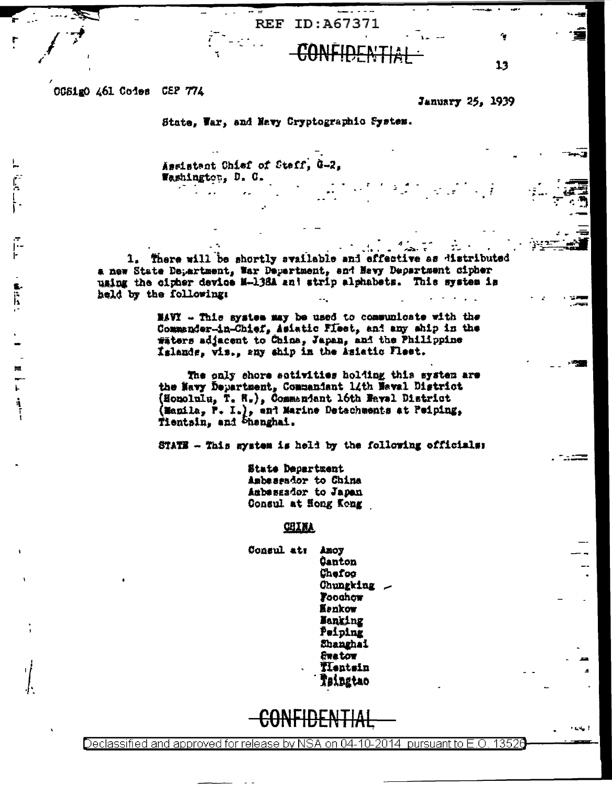OCSigO 461 Codes CEP 774

January 25, 1939

٠

13

State, War, and Navy Cryptographic System.

**REF ID:A67371** 

Assistant Chief of Staff, G-2. Washington, D. C.

1. There will be shortly svailable and effective as distributed a new State Department, War Department, and Nevy Department cipher using the cipher device M-138A and strip alphabets. This system is held by the following:

> NAVI - This system may be used to communicate with the Commander-in-Chief, Asiatic Fleet, and any ship in the waters adjacent to China, Japan, and the Philippine Islands, vis., any ship in the Asiatic Fleet.

> The only shore sotivities holding this system are the Navy Department, Commandant 14th Naval District (Honolulu, T. H.), Commandant 16th Maval District (Manila, P. I.), and Marine Detechments at Peiping, Tientsin, and Shanghai.

STATE - This mystem is held by the following officials:

State Department Ambassador to China Aubessador to Japan Consul at Hong Kong

**CHINA** 

Consul at: Anoy **Canton** Chefoo Chungking \_ Foochow. Kenkow **Hanking** Peiping Shanghai **Grator** TIentsin Tsingtao

Declassified and approved for release by NSA on 04-10-2014. pursuant to E.O. 13526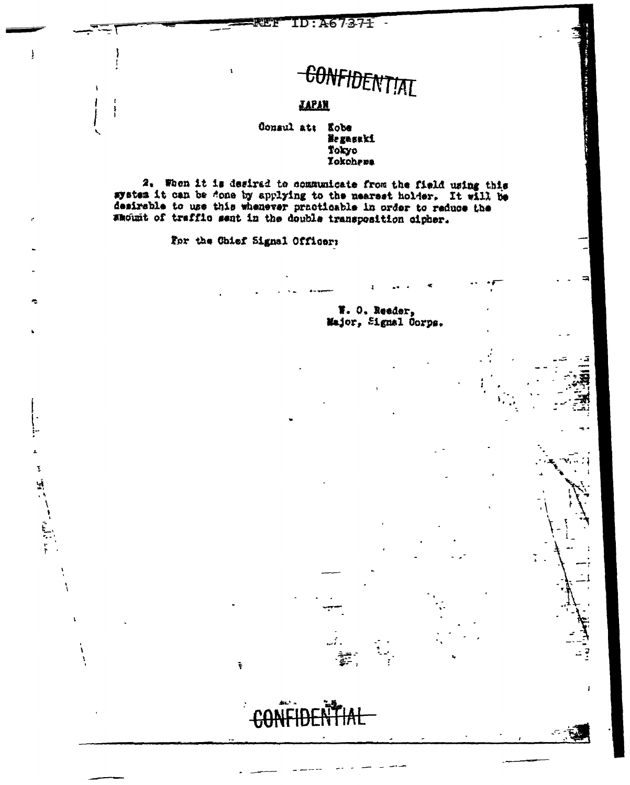# CONFIDENTIAL *<u>LAPAN</u>*

# Consul att Kobe Ne gasaki Tokyo Tokohrma

2. When it is desirad to communicate from the field using this system it can be done by applying to the mearest holder. It will be desirable to use this whenever practicable in order to reduce the amount of trafflo sent in the double transposition cipher.

For the Chief Signal Officer:

ŧ

 $\pmb{\chi}$ 

 $\mathbf{\mathbf{I}}$ 

エント きょう

ومستوقفا

ł

W. O. Reader, Major, Signal Corps.

Ŧ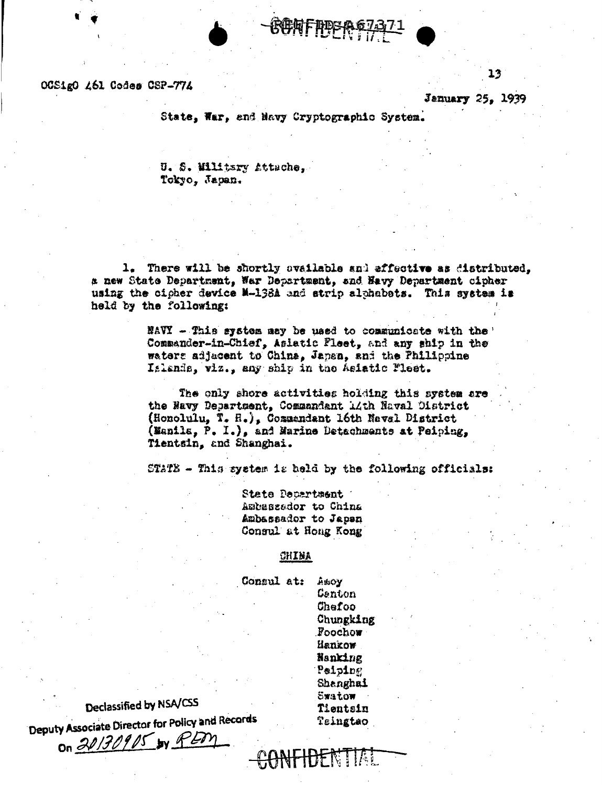#### OCSigO A61 Codes CSP-774

January 25, 1939

13

State, War. and Navy Cryptographic System.

U. S. Wiltsry Attache. Tokyo, Japan.

1. There will be shortly ovailable and affective as distributed. a new State Department, War Department, and Navy Department cipher using the cicher device M-138A and strip alphabets. This system is held by the following:

> NAVY - This system may be used to communicate with the Commander-in-Chief, Aslatic Pleet, and any ship in the waters adjacent to China, Japan, and the Philippine Islands, viz., any ship in the Asiatic Fleet.

The only shore activities holding this system are the Navy Department. Commandant 14th Naval District (Honolulu, T. H.), Commandant 16th Naval District (Manila, P. I.), and Marine Detachments at Peiping, Tientsin, and Shanghai.

STATE - This system is held by the following officials:

State Decartment Ambassador to China Ambassador to Japan Consul at Hong Kong

### CHINA

Consul at: ASSOV Centon Chefoo Chungking Foochow Hankow Nanking Peiping Shanghai Swatow Tientsin Teingtao

TOT N HAL

# Declassified by NSA/CSS

Deputy Associate Director for Policy and Records

on 20130905 by PEM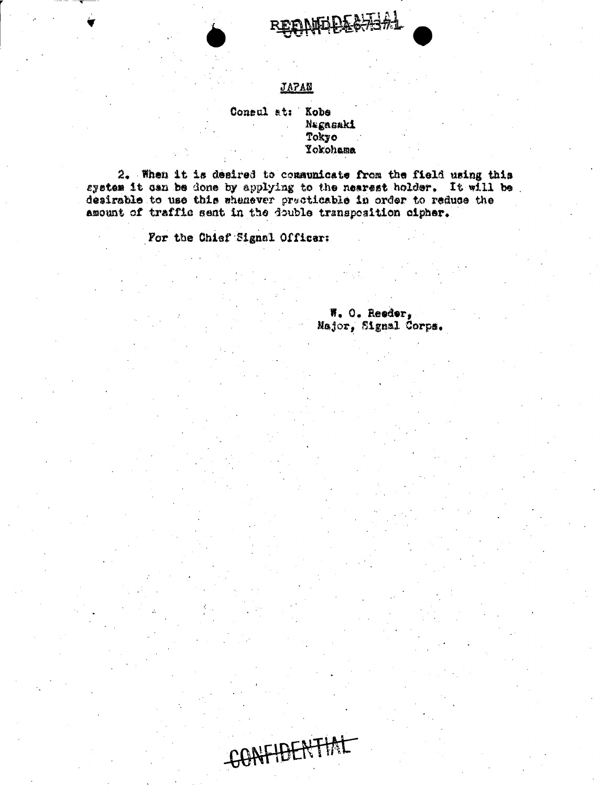

### **JAPAN**

### Consul at: Kobs NEgasaki Tokyo **Yokohama**

CONFIDENTIAL

2. When it is desired to communicate from the field using this system it can be done by applying to the nearest holder. It will be desirable to use this whenever precticable in order to reduce the amount of traffic sent in the double transposition cipher.

For the Chief Signal Officer:

W. O. Reeder, Major, Signal Corps.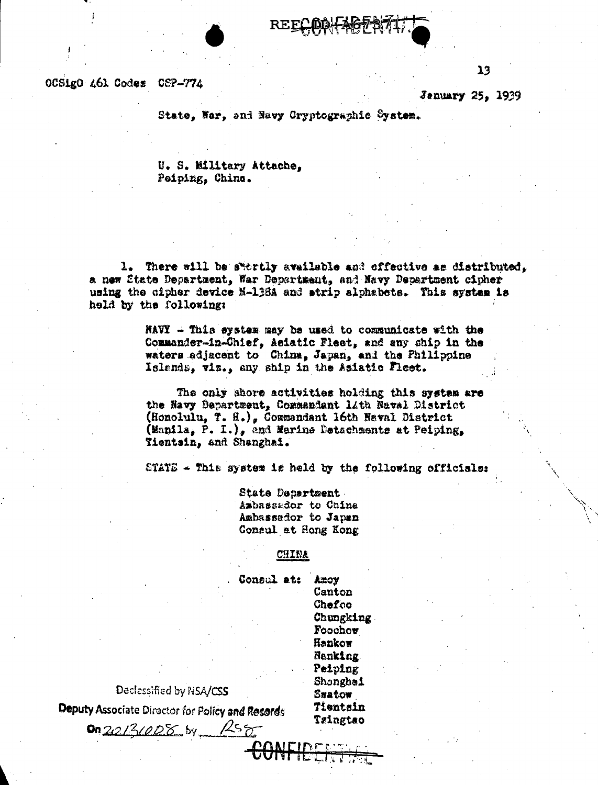OCSIgO 461 Codes CSP-774

ţ.

**Jenuary 25, 1939** 

 $13$ 

State, Nar, and Navy Cryptographic System.

U. S. Military Attache, Peiping, Chine.

1. There will be swertly available and offective as distributed. a new State Department, War Department, and Navy Department cipher using the cipher device N-138A and strip alphabets. This system is held by the following:

> $\tt{RWY}$  - This system may be used to communicate with the Commander-in-Chief, Asiatic Fleet, and any ship in the waters adjacent to China, Japan, and the Philippine Islands, viz., any ship in the Asiatic Fleet.

The only shore activities holding this system are the Navy Department. Commandant 14th Naval District (Honolulu, T. H.), Commandant 16th Naval District (Manila, P. I.), and Marine Detachments at Peiping, Tientsin, and Shanghai.

STATE  $\sim$  This system is held by the following officials:

State Department Ambassador to China Ambassador to Japan Consul at Hong Kong

### CHINA

Consul at: AZOY Canton Chefoo Chungking Foochow Hankow Nanking. Peiping Shonghai Smatow Tientsin Taingtao

Declessified by NSA/CSS

Deputy Associate Director for Policy and Records

0n20131008 by RS8